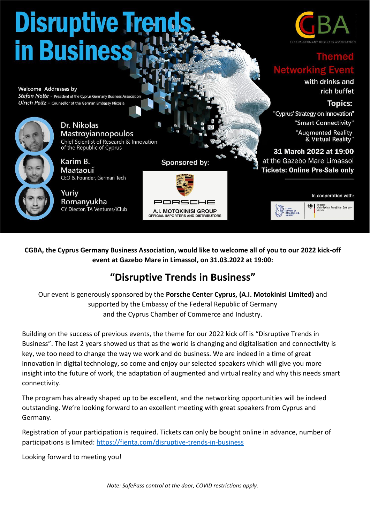

**CGBA, the Cyprus Germany Business Association, would like to welcome all of you to our 2022 kick-off event at Gazebo Mare in Limassol, on 31.03.2022 at 19:00:**

### **"Disruptive Trends in Business"**

Our event is generously sponsored by the **Porsche Center Cyprus, (A.I. Motokinisi Limited)** and supported by the Embassy of the Federal Republic of Germany and the Cyprus Chamber of Commerce and Industry.

Building on the success of previous events, the theme for our 2022 kick off is "Disruptive Trends in Business". The last 2 years showed us that as the world is changing and digitalisation and connectivity is key, we too need to change the way we work and do business. We are indeed in a time of great innovation in digital technology, so come and enjoy our selected speakers which will give you more insight into the future of work, the adaptation of augmented and virtual reality and why this needs smart connectivity.

The program has already shaped up to be excellent, and the networking opportunities will be indeed outstanding. We're looking forward to an excellent meeting with great speakers from Cyprus and Germany.

Registration of your participation is required. Tickets can only be bought online in advance, number of participations is limited:<https://fienta.com/disruptive-trends-in-business>

Looking forward to meeting you!

*Note: SafePass control at the door, COVID restrictions apply.*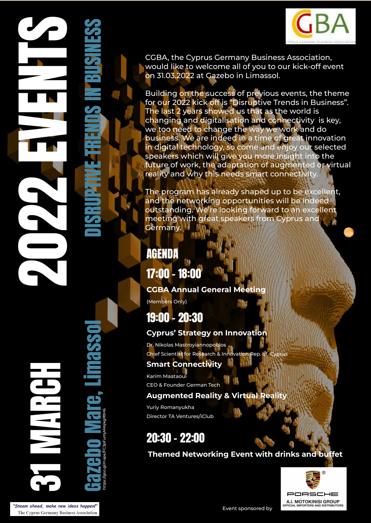

CGBA, the Cyprus Germany Business Association, would like to welcome all of you to our kick-off event on 31.03.2022 at Gazebo in Limassol.

Building on the success of previous events, the theme for our 2022 kick off is "Disruptive Trends in Business". The last 2 years showed us that as the world is changing and digitalisation and connectivity is key, we too need to change the way we work and do business. We are indeed in a time of great innovation in digital technology, so come and enjoy our selected speakers which will give you more insight into the future of work, the adaptation of augmented or virtual reality and why this needs smart connectivity.

The program has already shaped up to be excellent, and the networking opportunities will be indeed outstanding. We're looking forward to an excellent meeting with great speakers from Cyprus and Germany.<sup>1</sup>

### AGENDA

17:00 - 18:00

#### **CGBA Annual General Meeting**

(Members Only)

# 19:00 - 20:30

#### **Cyprus' Strategy on Innovation**

Dr. Nikolas Mastroyiannopoulos Chief Scientist for Research & Innovation Rep. of

#### **Smart Connectivity**

Karim Maataoui CEO & Founder German Tech

#### **Augmented Reality & Virtual Reality**

Yuriy Romanyukha Director TA Ventures/iClub

# 20:30 - 22:00

**Themed Networking Event with drinks and buffet**



2022 EVENTS NEWS ARRIVETS SINESS 31 MARCH Gazebo https://goo.gl/maps/FC3pFumjAMqkgR9H6 Mare, Limassol DISRUPTIVE TRENDS IN BUSINESS

"Steam ahead, make new ideas happen!" The Cyprus Germany Business Association

Event sponsored by